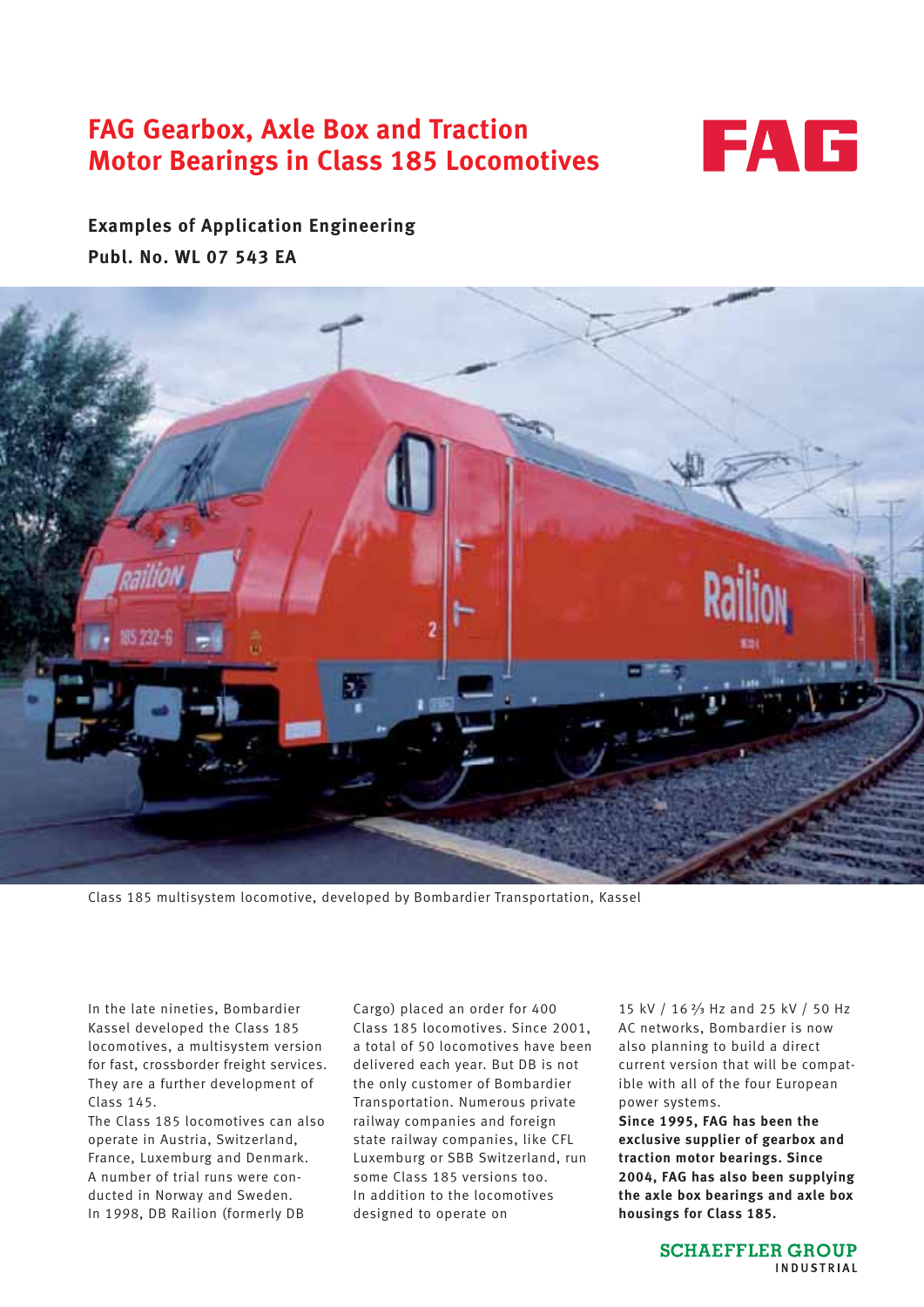# **FAG Gearbox, Axle Box and Traction Motor Bearings in Class 185 Locomotives**



**Examples of Application Engineering Publ. No. WL 07 543 EA**



Class 185 multisystem locomotive, developed by Bombardier Transportation, Kassel

In the late nineties, Bombardier Kassel developed the Class 185 locomotives, a multisystem version for fast, crossborder freight services. They are a further development of Class 145.

The Class 185 locomotives can also operate in Austria, Switzerland, France, Luxemburg and Denmark. A number of trial runs were conducted in Norway and Sweden. In 1998, DB Railion (formerly DB

Cargo) placed an order for 400 Class 185 locomotives. Since 2001, a total of 50 locomotives have been delivered each year. But DB is not the only customer of Bombardier Transportation. Numerous private railway companies and foreign state railway companies, like CFL Luxemburg or SBB Switzerland, run some Class 185 versions too. In addition to the locomotives designed to operate on

15 kV / 16 <sup>2</sup>/<sub>3</sub> Hz and 25 kV / 50 Hz AC networks, Bombardier is now also planning to build a direct current version that will be compatible with all of the four European power systems.

**Since 1995, FAG has been the exclusive supplier of gearbox and traction motor bearings. Since 2004, FAG has also been supplying the axle box bearings and axle box housings for Class 185.**

> **SCHAEFFLER GROUP** INDUSTRIAL